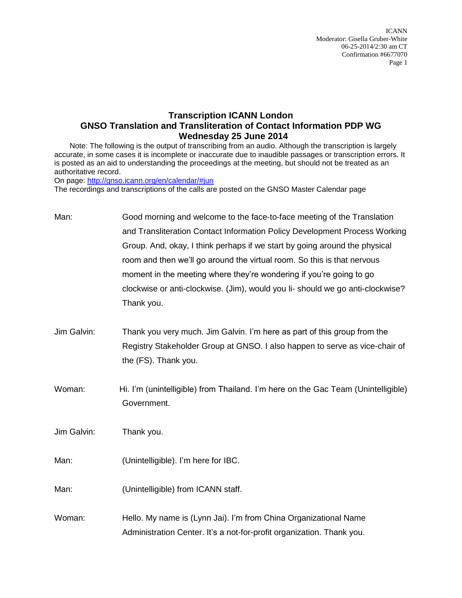ICANN Moderator: Gisella Gruber-White 06-25-2014/2:30 am CT Confirmation #6677070 Page 1

## **Transcription ICANN London GNSO Translation and Transliteration of Contact Information PDP WG Wednesday 25 June 2014**

Note: The following is the output of transcribing from an audio. Although the transcription is largely accurate, in some cases it is incomplete or inaccurate due to inaudible passages or transcription errors. It is posted as an aid to understanding the proceedings at the meeting, but should not be treated as an authoritative record.

On page:<http://gnso.icann.org/en/calendar/#jun>

The recordings and transcriptions of the calls are posted on the GNSO Master Calendar page

| Man:        | Good morning and welcome to the face-to-face meeting of the Translation<br>and Transliteration Contact Information Policy Development Process Working<br>Group. And, okay, I think perhaps if we start by going around the physical<br>room and then we'll go around the virtual room. So this is that nervous<br>moment in the meeting where they're wondering if you're going to go<br>clockwise or anti-clockwise. (Jim), would you li-should we go anti-clockwise?<br>Thank you. |
|-------------|--------------------------------------------------------------------------------------------------------------------------------------------------------------------------------------------------------------------------------------------------------------------------------------------------------------------------------------------------------------------------------------------------------------------------------------------------------------------------------------|
| Jim Galvin: | Thank you very much. Jim Galvin. I'm here as part of this group from the<br>Registry Stakeholder Group at GNSO. I also happen to serve as vice-chair of<br>the (FS). Thank you.                                                                                                                                                                                                                                                                                                      |
| Woman:      | Hi. I'm (unintelligible) from Thailand. I'm here on the Gac Team (Unintelligible)<br>Government.                                                                                                                                                                                                                                                                                                                                                                                     |
| Jim Galvin: | Thank you.                                                                                                                                                                                                                                                                                                                                                                                                                                                                           |
| Man:        | (Unintelligible). I'm here for IBC.                                                                                                                                                                                                                                                                                                                                                                                                                                                  |
| Man:        | (Unintelligible) from ICANN staff.                                                                                                                                                                                                                                                                                                                                                                                                                                                   |
| Woman:      | Hello. My name is (Lynn Jai). I'm from China Organizational Name<br>Administration Center. It's a not-for-profit organization. Thank you.                                                                                                                                                                                                                                                                                                                                            |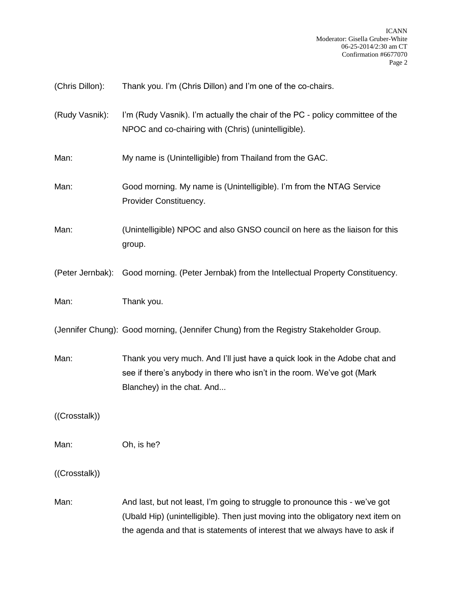| (Chris Dillon):  | Thank you. I'm (Chris Dillon) and I'm one of the co-chairs.                                                                                                                                                                                    |
|------------------|------------------------------------------------------------------------------------------------------------------------------------------------------------------------------------------------------------------------------------------------|
| (Rudy Vasnik):   | I'm (Rudy Vasnik). I'm actually the chair of the PC - policy committee of the<br>NPOC and co-chairing with (Chris) (unintelligible).                                                                                                           |
| Man:             | My name is (Unintelligible) from Thailand from the GAC.                                                                                                                                                                                        |
| Man:             | Good morning. My name is (Unintelligible). I'm from the NTAG Service<br>Provider Constituency.                                                                                                                                                 |
| Man:             | (Unintelligible) NPOC and also GNSO council on here as the liaison for this<br>group.                                                                                                                                                          |
| (Peter Jernbak): | Good morning. (Peter Jernbak) from the Intellectual Property Constituency.                                                                                                                                                                     |
| Man:             | Thank you.                                                                                                                                                                                                                                     |
|                  | (Jennifer Chung): Good morning, (Jennifer Chung) from the Registry Stakeholder Group.                                                                                                                                                          |
| Man:             | Thank you very much. And I'll just have a quick look in the Adobe chat and<br>see if there's anybody in there who isn't in the room. We've got (Mark<br>Blanchey) in the chat. And                                                             |
| ((Crosstalk))    |                                                                                                                                                                                                                                                |
| Man:             | Oh, is he?                                                                                                                                                                                                                                     |
| ((Crosstalk))    |                                                                                                                                                                                                                                                |
| Man:             | And last, but not least, I'm going to struggle to pronounce this - we've got<br>(Ubald Hip) (unintelligible). Then just moving into the obligatory next item on<br>the agenda and that is statements of interest that we always have to ask if |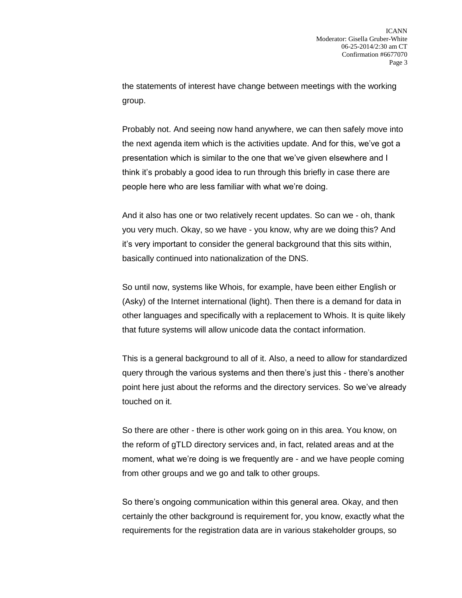the statements of interest have change between meetings with the working group.

Probably not. And seeing now hand anywhere, we can then safely move into the next agenda item which is the activities update. And for this, we've got a presentation which is similar to the one that we've given elsewhere and I think it's probably a good idea to run through this briefly in case there are people here who are less familiar with what we're doing.

And it also has one or two relatively recent updates. So can we - oh, thank you very much. Okay, so we have - you know, why are we doing this? And it's very important to consider the general background that this sits within, basically continued into nationalization of the DNS.

So until now, systems like Whois, for example, have been either English or (Asky) of the Internet international (light). Then there is a demand for data in other languages and specifically with a replacement to Whois. It is quite likely that future systems will allow unicode data the contact information.

This is a general background to all of it. Also, a need to allow for standardized query through the various systems and then there's just this - there's another point here just about the reforms and the directory services. So we've already touched on it.

So there are other - there is other work going on in this area. You know, on the reform of gTLD directory services and, in fact, related areas and at the moment, what we're doing is we frequently are - and we have people coming from other groups and we go and talk to other groups.

So there's ongoing communication within this general area. Okay, and then certainly the other background is requirement for, you know, exactly what the requirements for the registration data are in various stakeholder groups, so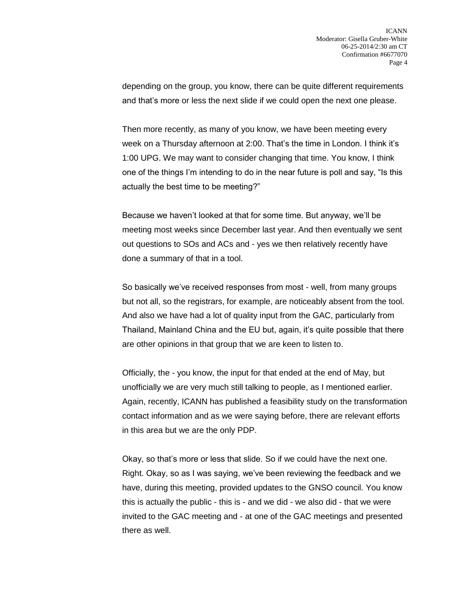depending on the group, you know, there can be quite different requirements and that's more or less the next slide if we could open the next one please.

Then more recently, as many of you know, we have been meeting every week on a Thursday afternoon at 2:00. That's the time in London. I think it's 1:00 UPG. We may want to consider changing that time. You know, I think one of the things I'm intending to do in the near future is poll and say, "Is this actually the best time to be meeting?"

Because we haven't looked at that for some time. But anyway, we'll be meeting most weeks since December last year. And then eventually we sent out questions to SOs and ACs and - yes we then relatively recently have done a summary of that in a tool.

So basically we've received responses from most - well, from many groups but not all, so the registrars, for example, are noticeably absent from the tool. And also we have had a lot of quality input from the GAC, particularly from Thailand, Mainland China and the EU but, again, it's quite possible that there are other opinions in that group that we are keen to listen to.

Officially, the - you know, the input for that ended at the end of May, but unofficially we are very much still talking to people, as I mentioned earlier. Again, recently, ICANN has published a feasibility study on the transformation contact information and as we were saying before, there are relevant efforts in this area but we are the only PDP.

Okay, so that's more or less that slide. So if we could have the next one. Right. Okay, so as I was saying, we've been reviewing the feedback and we have, during this meeting, provided updates to the GNSO council. You know this is actually the public - this is - and we did - we also did - that we were invited to the GAC meeting and - at one of the GAC meetings and presented there as well.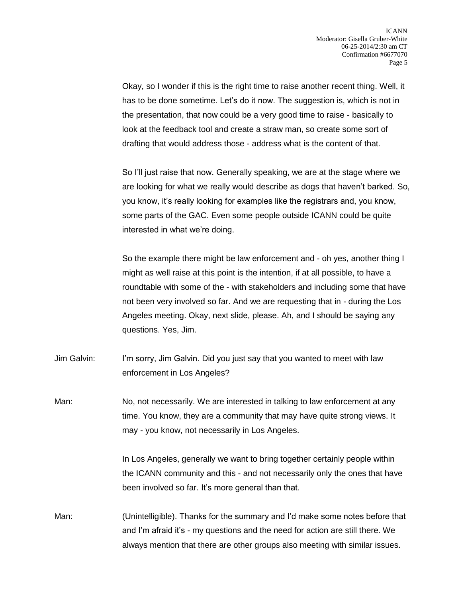Okay, so I wonder if this is the right time to raise another recent thing. Well, it has to be done sometime. Let's do it now. The suggestion is, which is not in the presentation, that now could be a very good time to raise - basically to look at the feedback tool and create a straw man, so create some sort of drafting that would address those - address what is the content of that.

So I'll just raise that now. Generally speaking, we are at the stage where we are looking for what we really would describe as dogs that haven't barked. So, you know, it's really looking for examples like the registrars and, you know, some parts of the GAC. Even some people outside ICANN could be quite interested in what we're doing.

So the example there might be law enforcement and - oh yes, another thing I might as well raise at this point is the intention, if at all possible, to have a roundtable with some of the - with stakeholders and including some that have not been very involved so far. And we are requesting that in - during the Los Angeles meeting. Okay, next slide, please. Ah, and I should be saying any questions. Yes, Jim.

Jim Galvin: I'm sorry, Jim Galvin. Did you just say that you wanted to meet with law enforcement in Los Angeles?

Man: No, not necessarily. We are interested in talking to law enforcement at any time. You know, they are a community that may have quite strong views. It may - you know, not necessarily in Los Angeles.

> In Los Angeles, generally we want to bring together certainly people within the ICANN community and this - and not necessarily only the ones that have been involved so far. It's more general than that.

Man: (Unintelligible). Thanks for the summary and I'd make some notes before that and I'm afraid it's - my questions and the need for action are still there. We always mention that there are other groups also meeting with similar issues.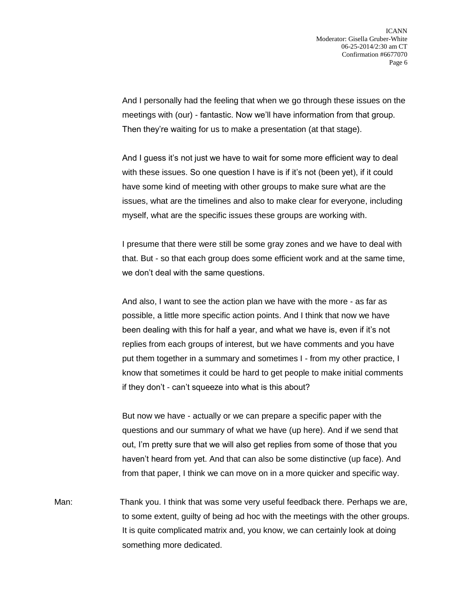And I personally had the feeling that when we go through these issues on the meetings with (our) - fantastic. Now we'll have information from that group. Then they're waiting for us to make a presentation (at that stage).

And I guess it's not just we have to wait for some more efficient way to deal with these issues. So one question I have is if it's not (been yet), if it could have some kind of meeting with other groups to make sure what are the issues, what are the timelines and also to make clear for everyone, including myself, what are the specific issues these groups are working with.

I presume that there were still be some gray zones and we have to deal with that. But - so that each group does some efficient work and at the same time, we don't deal with the same questions.

And also, I want to see the action plan we have with the more - as far as possible, a little more specific action points. And I think that now we have been dealing with this for half a year, and what we have is, even if it's not replies from each groups of interest, but we have comments and you have put them together in a summary and sometimes I - from my other practice, I know that sometimes it could be hard to get people to make initial comments if they don't - can't squeeze into what is this about?

But now we have - actually or we can prepare a specific paper with the questions and our summary of what we have (up here). And if we send that out, I'm pretty sure that we will also get replies from some of those that you haven't heard from yet. And that can also be some distinctive (up face). And from that paper, I think we can move on in a more quicker and specific way.

Man: Thank you. I think that was some very useful feedback there. Perhaps we are, to some extent, guilty of being ad hoc with the meetings with the other groups. It is quite complicated matrix and, you know, we can certainly look at doing something more dedicated.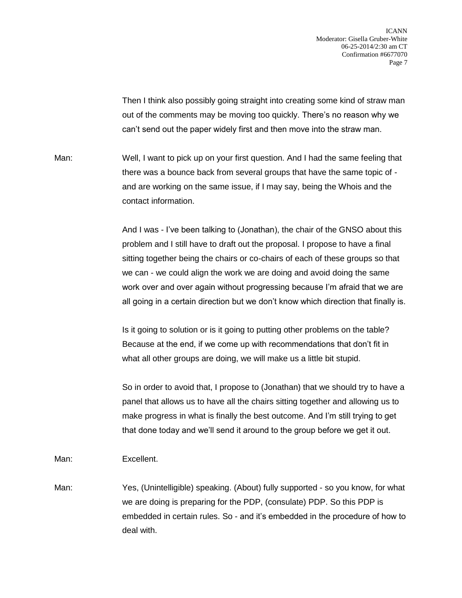ICANN Moderator: Gisella Gruber-White 06-25-2014/2:30 am CT Confirmation #6677070 Page 7

Then I think also possibly going straight into creating some kind of straw man out of the comments may be moving too quickly. There's no reason why we can't send out the paper widely first and then move into the straw man.

Man: Well, I want to pick up on your first question. And I had the same feeling that there was a bounce back from several groups that have the same topic of and are working on the same issue, if I may say, being the Whois and the contact information.

> And I was - I've been talking to (Jonathan), the chair of the GNSO about this problem and I still have to draft out the proposal. I propose to have a final sitting together being the chairs or co-chairs of each of these groups so that we can - we could align the work we are doing and avoid doing the same work over and over again without progressing because I'm afraid that we are all going in a certain direction but we don't know which direction that finally is.

Is it going to solution or is it going to putting other problems on the table? Because at the end, if we come up with recommendations that don't fit in what all other groups are doing, we will make us a little bit stupid.

So in order to avoid that, I propose to (Jonathan) that we should try to have a panel that allows us to have all the chairs sitting together and allowing us to make progress in what is finally the best outcome. And I'm still trying to get that done today and we'll send it around to the group before we get it out.

Man: Excellent.

Man: Yes, (Unintelligible) speaking. (About) fully supported - so you know, for what we are doing is preparing for the PDP, (consulate) PDP. So this PDP is embedded in certain rules. So - and it's embedded in the procedure of how to deal with.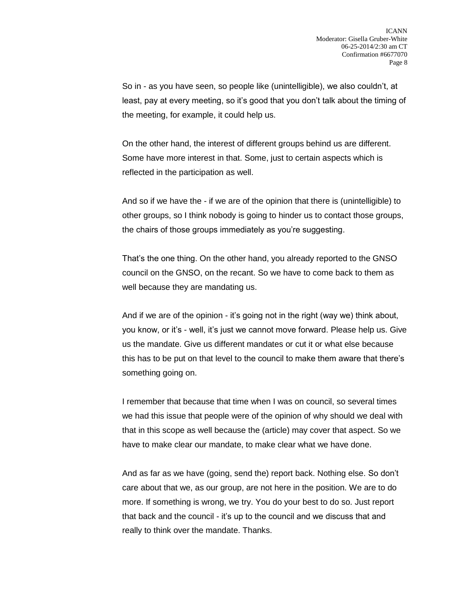So in - as you have seen, so people like (unintelligible), we also couldn't, at least, pay at every meeting, so it's good that you don't talk about the timing of the meeting, for example, it could help us.

On the other hand, the interest of different groups behind us are different. Some have more interest in that. Some, just to certain aspects which is reflected in the participation as well.

And so if we have the - if we are of the opinion that there is (unintelligible) to other groups, so I think nobody is going to hinder us to contact those groups, the chairs of those groups immediately as you're suggesting.

That's the one thing. On the other hand, you already reported to the GNSO council on the GNSO, on the recant. So we have to come back to them as well because they are mandating us.

And if we are of the opinion - it's going not in the right (way we) think about, you know, or it's - well, it's just we cannot move forward. Please help us. Give us the mandate. Give us different mandates or cut it or what else because this has to be put on that level to the council to make them aware that there's something going on.

I remember that because that time when I was on council, so several times we had this issue that people were of the opinion of why should we deal with that in this scope as well because the (article) may cover that aspect. So we have to make clear our mandate, to make clear what we have done.

And as far as we have (going, send the) report back. Nothing else. So don't care about that we, as our group, are not here in the position. We are to do more. If something is wrong, we try. You do your best to do so. Just report that back and the council - it's up to the council and we discuss that and really to think over the mandate. Thanks.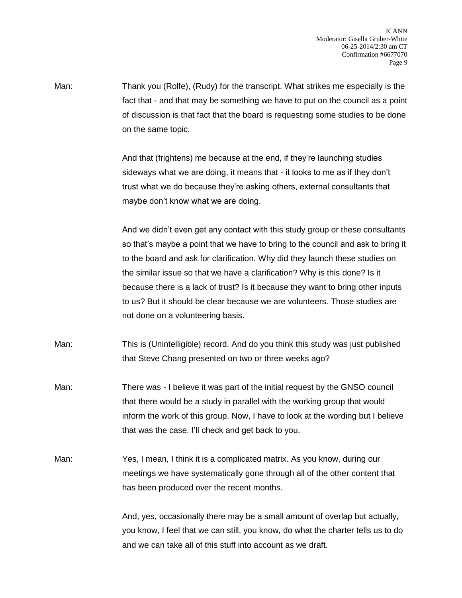Man: Thank you (Rolfe), (Rudy) for the transcript. What strikes me especially is the fact that - and that may be something we have to put on the council as a point of discussion is that fact that the board is requesting some studies to be done on the same topic.

> And that (frightens) me because at the end, if they're launching studies sideways what we are doing, it means that - it looks to me as if they don't trust what we do because they're asking others, external consultants that maybe don't know what we are doing.

And we didn't even get any contact with this study group or these consultants so that's maybe a point that we have to bring to the council and ask to bring it to the board and ask for clarification. Why did they launch these studies on the similar issue so that we have a clarification? Why is this done? Is it because there is a lack of trust? Is it because they want to bring other inputs to us? But it should be clear because we are volunteers. Those studies are not done on a volunteering basis.

Man: This is (Unintelligible) record. And do you think this study was just published that Steve Chang presented on two or three weeks ago?

- Man: There was I believe it was part of the initial request by the GNSO council that there would be a study in parallel with the working group that would inform the work of this group. Now, I have to look at the wording but I believe that was the case. I'll check and get back to you.
- Man: Yes, I mean, I think it is a complicated matrix. As you know, during our meetings we have systematically gone through all of the other content that has been produced over the recent months.

And, yes, occasionally there may be a small amount of overlap but actually, you know, I feel that we can still, you know, do what the charter tells us to do and we can take all of this stuff into account as we draft.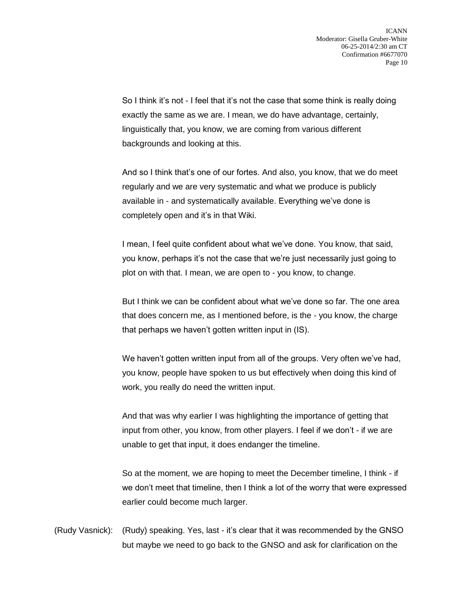So I think it's not - I feel that it's not the case that some think is really doing exactly the same as we are. I mean, we do have advantage, certainly, linguistically that, you know, we are coming from various different backgrounds and looking at this.

And so I think that's one of our fortes. And also, you know, that we do meet regularly and we are very systematic and what we produce is publicly available in - and systematically available. Everything we've done is completely open and it's in that Wiki.

I mean, I feel quite confident about what we've done. You know, that said, you know, perhaps it's not the case that we're just necessarily just going to plot on with that. I mean, we are open to - you know, to change.

But I think we can be confident about what we've done so far. The one area that does concern me, as I mentioned before, is the - you know, the charge that perhaps we haven't gotten written input in (IS).

We haven't gotten written input from all of the groups. Very often we've had, you know, people have spoken to us but effectively when doing this kind of work, you really do need the written input.

And that was why earlier I was highlighting the importance of getting that input from other, you know, from other players. I feel if we don't - if we are unable to get that input, it does endanger the timeline.

So at the moment, we are hoping to meet the December timeline, I think - if we don't meet that timeline, then I think a lot of the worry that were expressed earlier could become much larger.

(Rudy Vasnick): (Rudy) speaking. Yes, last - it's clear that it was recommended by the GNSO but maybe we need to go back to the GNSO and ask for clarification on the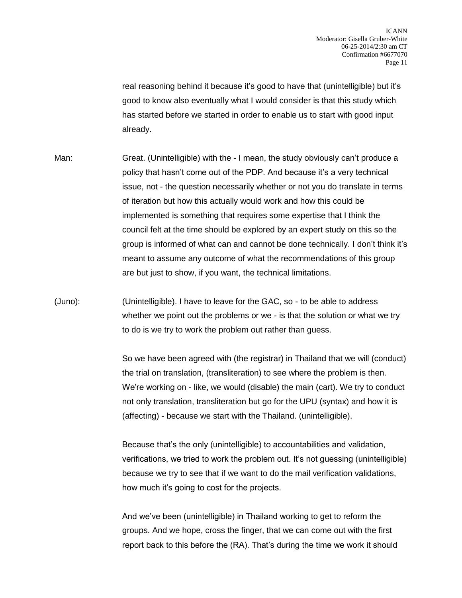real reasoning behind it because it's good to have that (unintelligible) but it's good to know also eventually what I would consider is that this study which has started before we started in order to enable us to start with good input already.

- Man: Great. (Unintelligible) with the I mean, the study obviously can't produce a policy that hasn't come out of the PDP. And because it's a very technical issue, not - the question necessarily whether or not you do translate in terms of iteration but how this actually would work and how this could be implemented is something that requires some expertise that I think the council felt at the time should be explored by an expert study on this so the group is informed of what can and cannot be done technically. I don't think it's meant to assume any outcome of what the recommendations of this group are but just to show, if you want, the technical limitations.
- (Juno): (Unintelligible). I have to leave for the GAC, so to be able to address whether we point out the problems or we - is that the solution or what we try to do is we try to work the problem out rather than guess.

So we have been agreed with (the registrar) in Thailand that we will (conduct) the trial on translation, (transliteration) to see where the problem is then. We're working on - like, we would (disable) the main (cart). We try to conduct not only translation, transliteration but go for the UPU (syntax) and how it is (affecting) - because we start with the Thailand. (unintelligible).

Because that's the only (unintelligible) to accountabilities and validation, verifications, we tried to work the problem out. It's not guessing (unintelligible) because we try to see that if we want to do the mail verification validations, how much it's going to cost for the projects.

And we've been (unintelligible) in Thailand working to get to reform the groups. And we hope, cross the finger, that we can come out with the first report back to this before the (RA). That's during the time we work it should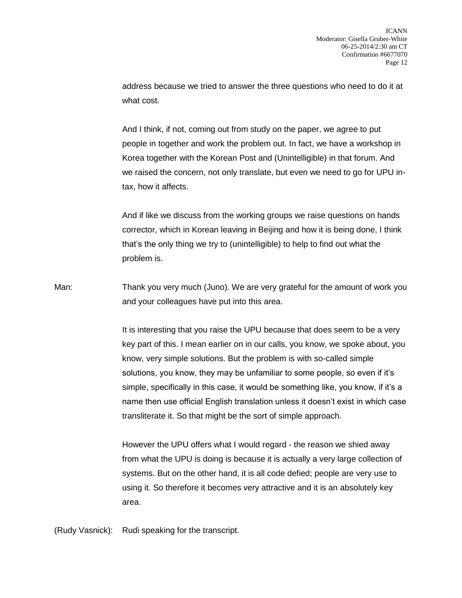address because we tried to answer the three questions who need to do it at what cost.

And I think, if not, coming out from study on the paper, we agree to put people in together and work the problem out. In fact, we have a workshop in Korea together with the Korean Post and (Unintelligible) in that forum. And we raised the concern, not only translate, but even we need to go for UPU intax, how it affects.

And if like we discuss from the working groups we raise questions on hands corrector, which in Korean leaving in Beijing and how it is being done, I think that's the only thing we try to (unintelligible) to help to find out what the problem is.

Man: Thank you very much (Juno). We are very grateful for the amount of work you and your colleagues have put into this area.

> It is interesting that you raise the UPU because that does seem to be a very key part of this. I mean earlier on in our calls, you know, we spoke about, you know, very simple solutions. But the problem is with so-called simple solutions, you know, they may be unfamiliar to some people, so even if it's simple, specifically in this case, it would be something like, you know, if it's a name then use official English translation unless it doesn't exist in which case transliterate it. So that might be the sort of simple approach.

However the UPU offers what I would regard - the reason we shied away from what the UPU is doing is because it is actually a very large collection of systems. But on the other hand, it is all code defied; people are very use to using it. So therefore it becomes very attractive and it is an absolutely key area.

(Rudy Vasnick): Rudi speaking for the transcript.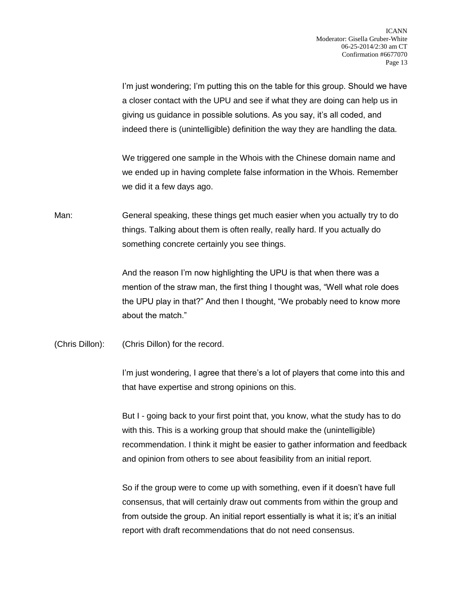I'm just wondering; I'm putting this on the table for this group. Should we have a closer contact with the UPU and see if what they are doing can help us in giving us guidance in possible solutions. As you say, it's all coded, and indeed there is (unintelligible) definition the way they are handling the data.

We triggered one sample in the Whois with the Chinese domain name and we ended up in having complete false information in the Whois. Remember we did it a few days ago.

Man: General speaking, these things get much easier when you actually try to do things. Talking about them is often really, really hard. If you actually do something concrete certainly you see things.

> And the reason I'm now highlighting the UPU is that when there was a mention of the straw man, the first thing I thought was, "Well what role does the UPU play in that?" And then I thought, "We probably need to know more about the match."

(Chris Dillon): (Chris Dillon) for the record.

I'm just wondering, I agree that there's a lot of players that come into this and that have expertise and strong opinions on this.

But I - going back to your first point that, you know, what the study has to do with this. This is a working group that should make the (unintelligible) recommendation. I think it might be easier to gather information and feedback and opinion from others to see about feasibility from an initial report.

So if the group were to come up with something, even if it doesn't have full consensus, that will certainly draw out comments from within the group and from outside the group. An initial report essentially is what it is; it's an initial report with draft recommendations that do not need consensus.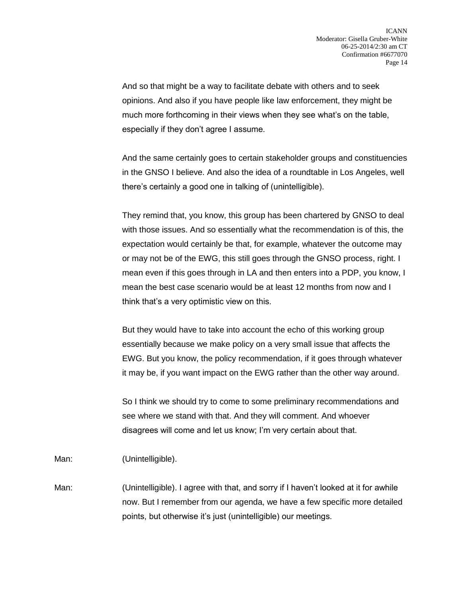And so that might be a way to facilitate debate with others and to seek opinions. And also if you have people like law enforcement, they might be much more forthcoming in their views when they see what's on the table, especially if they don't agree I assume.

And the same certainly goes to certain stakeholder groups and constituencies in the GNSO I believe. And also the idea of a roundtable in Los Angeles, well there's certainly a good one in talking of (unintelligible).

They remind that, you know, this group has been chartered by GNSO to deal with those issues. And so essentially what the recommendation is of this, the expectation would certainly be that, for example, whatever the outcome may or may not be of the EWG, this still goes through the GNSO process, right. I mean even if this goes through in LA and then enters into a PDP, you know, I mean the best case scenario would be at least 12 months from now and I think that's a very optimistic view on this.

But they would have to take into account the echo of this working group essentially because we make policy on a very small issue that affects the EWG. But you know, the policy recommendation, if it goes through whatever it may be, if you want impact on the EWG rather than the other way around.

So I think we should try to come to some preliminary recommendations and see where we stand with that. And they will comment. And whoever disagrees will come and let us know; I'm very certain about that.

Man: (Unintelligible).

Man: (Unintelligible). I agree with that, and sorry if I haven't looked at it for awhile now. But I remember from our agenda, we have a few specific more detailed points, but otherwise it's just (unintelligible) our meetings.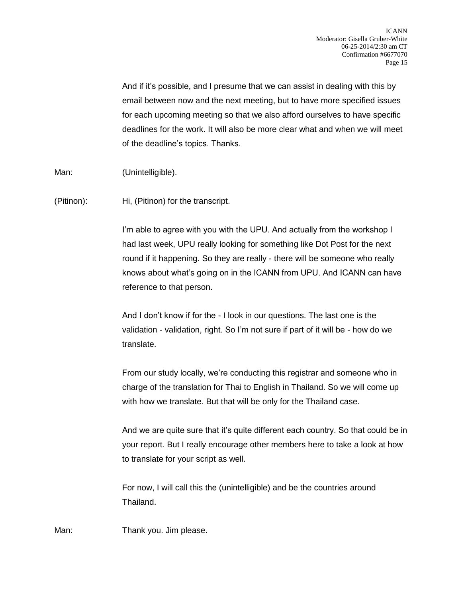And if it's possible, and I presume that we can assist in dealing with this by email between now and the next meeting, but to have more specified issues for each upcoming meeting so that we also afford ourselves to have specific deadlines for the work. It will also be more clear what and when we will meet of the deadline's topics. Thanks.

Man: (Unintelligible).

(Pitinon): Hi, (Pitinon) for the transcript.

I'm able to agree with you with the UPU. And actually from the workshop I had last week, UPU really looking for something like Dot Post for the next round if it happening. So they are really - there will be someone who really knows about what's going on in the ICANN from UPU. And ICANN can have reference to that person.

And I don't know if for the - I look in our questions. The last one is the validation - validation, right. So I'm not sure if part of it will be - how do we translate.

From our study locally, we're conducting this registrar and someone who in charge of the translation for Thai to English in Thailand. So we will come up with how we translate. But that will be only for the Thailand case.

And we are quite sure that it's quite different each country. So that could be in your report. But I really encourage other members here to take a look at how to translate for your script as well.

For now, I will call this the (unintelligible) and be the countries around Thailand.

Man: Thank you. Jim please.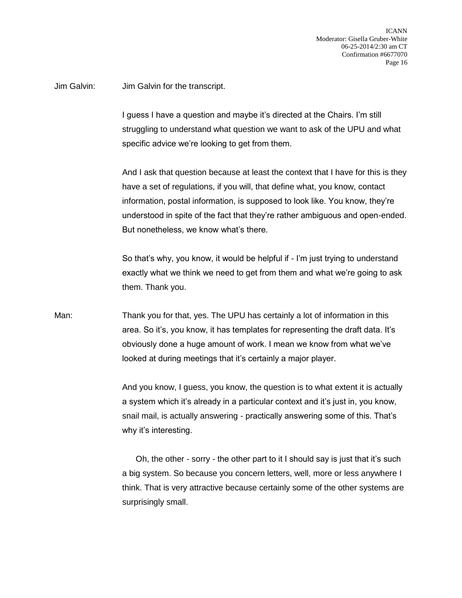Jim Galvin: Jim Galvin for the transcript.

I guess I have a question and maybe it's directed at the Chairs. I'm still struggling to understand what question we want to ask of the UPU and what specific advice we're looking to get from them.

And I ask that question because at least the context that I have for this is they have a set of regulations, if you will, that define what, you know, contact information, postal information, is supposed to look like. You know, they're understood in spite of the fact that they're rather ambiguous and open-ended. But nonetheless, we know what's there.

So that's why, you know, it would be helpful if - I'm just trying to understand exactly what we think we need to get from them and what we're going to ask them. Thank you.

Man: Thank you for that, yes. The UPU has certainly a lot of information in this area. So it's, you know, it has templates for representing the draft data. It's obviously done a huge amount of work. I mean we know from what we've looked at during meetings that it's certainly a major player.

> And you know, I guess, you know, the question is to what extent it is actually a system which it's already in a particular context and it's just in, you know, snail mail, is actually answering - practically answering some of this. That's why it's interesting.

> Oh, the other - sorry - the other part to it I should say is just that it's such a big system. So because you concern letters, well, more or less anywhere I think. That is very attractive because certainly some of the other systems are surprisingly small.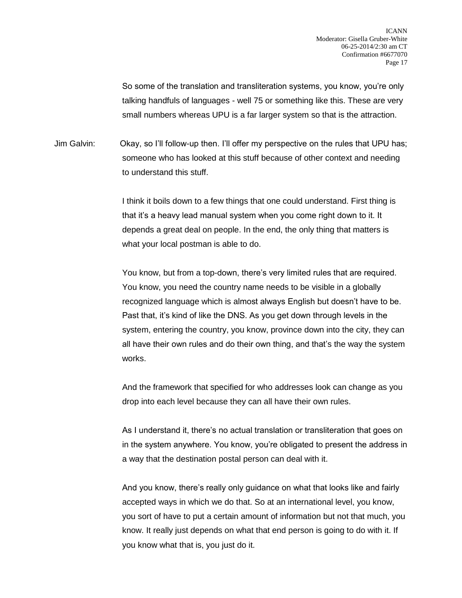So some of the translation and transliteration systems, you know, you're only talking handfuls of languages - well 75 or something like this. These are very small numbers whereas UPU is a far larger system so that is the attraction.

Jim Galvin: Okay, so I'll follow-up then. I'll offer my perspective on the rules that UPU has; someone who has looked at this stuff because of other context and needing to understand this stuff.

> I think it boils down to a few things that one could understand. First thing is that it's a heavy lead manual system when you come right down to it. It depends a great deal on people. In the end, the only thing that matters is what your local postman is able to do.

You know, but from a top-down, there's very limited rules that are required. You know, you need the country name needs to be visible in a globally recognized language which is almost always English but doesn't have to be. Past that, it's kind of like the DNS. As you get down through levels in the system, entering the country, you know, province down into the city, they can all have their own rules and do their own thing, and that's the way the system works.

And the framework that specified for who addresses look can change as you drop into each level because they can all have their own rules.

As I understand it, there's no actual translation or transliteration that goes on in the system anywhere. You know, you're obligated to present the address in a way that the destination postal person can deal with it.

And you know, there's really only guidance on what that looks like and fairly accepted ways in which we do that. So at an international level, you know, you sort of have to put a certain amount of information but not that much, you know. It really just depends on what that end person is going to do with it. If you know what that is, you just do it.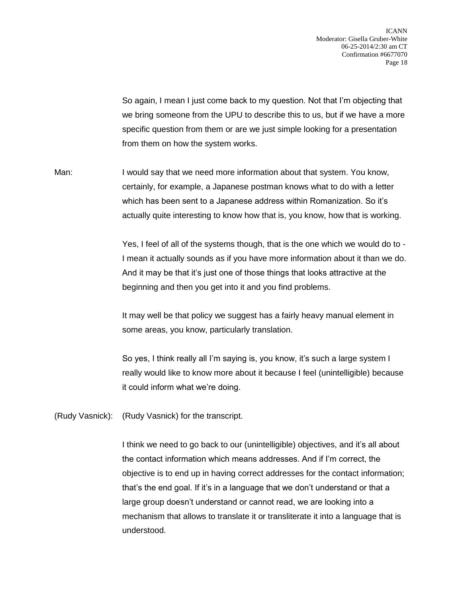So again, I mean I just come back to my question. Not that I'm objecting that we bring someone from the UPU to describe this to us, but if we have a more specific question from them or are we just simple looking for a presentation from them on how the system works.

Man: I would say that we need more information about that system. You know, certainly, for example, a Japanese postman knows what to do with a letter which has been sent to a Japanese address within Romanization. So it's actually quite interesting to know how that is, you know, how that is working.

> Yes, I feel of all of the systems though, that is the one which we would do to - I mean it actually sounds as if you have more information about it than we do. And it may be that it's just one of those things that looks attractive at the beginning and then you get into it and you find problems.

It may well be that policy we suggest has a fairly heavy manual element in some areas, you know, particularly translation.

So yes, I think really all I'm saying is, you know, it's such a large system I really would like to know more about it because I feel (unintelligible) because it could inform what we're doing.

(Rudy Vasnick): (Rudy Vasnick) for the transcript.

I think we need to go back to our (unintelligible) objectives, and it's all about the contact information which means addresses. And if I'm correct, the objective is to end up in having correct addresses for the contact information; that's the end goal. If it's in a language that we don't understand or that a large group doesn't understand or cannot read, we are looking into a mechanism that allows to translate it or transliterate it into a language that is understood.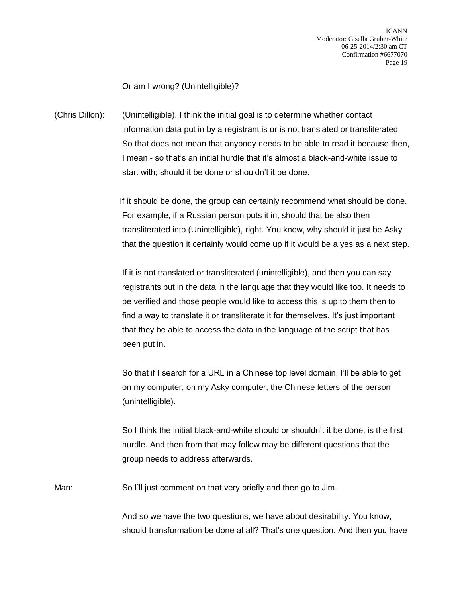Or am I wrong? (Unintelligible)?

(Chris Dillon): (Unintelligible). I think the initial goal is to determine whether contact information data put in by a registrant is or is not translated or transliterated. So that does not mean that anybody needs to be able to read it because then, I mean - so that's an initial hurdle that it's almost a black-and-white issue to start with; should it be done or shouldn't it be done.

> If it should be done, the group can certainly recommend what should be done. For example, if a Russian person puts it in, should that be also then transliterated into (Unintelligible), right. You know, why should it just be Asky that the question it certainly would come up if it would be a yes as a next step.

If it is not translated or transliterated (unintelligible), and then you can say registrants put in the data in the language that they would like too. It needs to be verified and those people would like to access this is up to them then to find a way to translate it or transliterate it for themselves. It's just important that they be able to access the data in the language of the script that has been put in.

So that if I search for a URL in a Chinese top level domain, I'll be able to get on my computer, on my Asky computer, the Chinese letters of the person (unintelligible).

So I think the initial black-and-white should or shouldn't it be done, is the first hurdle. And then from that may follow may be different questions that the group needs to address afterwards.

Man: So I'll just comment on that very briefly and then go to Jim.

And so we have the two questions; we have about desirability. You know, should transformation be done at all? That's one question. And then you have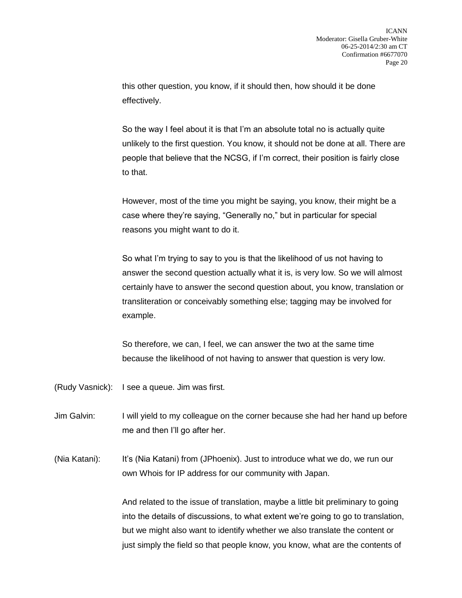this other question, you know, if it should then, how should it be done effectively.

So the way I feel about it is that I'm an absolute total no is actually quite unlikely to the first question. You know, it should not be done at all. There are people that believe that the NCSG, if I'm correct, their position is fairly close to that.

However, most of the time you might be saying, you know, their might be a case where they're saying, "Generally no," but in particular for special reasons you might want to do it.

So what I'm trying to say to you is that the likelihood of us not having to answer the second question actually what it is, is very low. So we will almost certainly have to answer the second question about, you know, translation or transliteration or conceivably something else; tagging may be involved for example.

So therefore, we can, I feel, we can answer the two at the same time because the likelihood of not having to answer that question is very low.

(Rudy Vasnick): I see a queue. Jim was first.

Jim Galvin: I will yield to my colleague on the corner because she had her hand up before me and then I'll go after her.

(Nia Katani): It's (Nia Katani) from (JPhoenix). Just to introduce what we do, we run our own Whois for IP address for our community with Japan.

> And related to the issue of translation, maybe a little bit preliminary to going into the details of discussions, to what extent we're going to go to translation, but we might also want to identify whether we also translate the content or just simply the field so that people know, you know, what are the contents of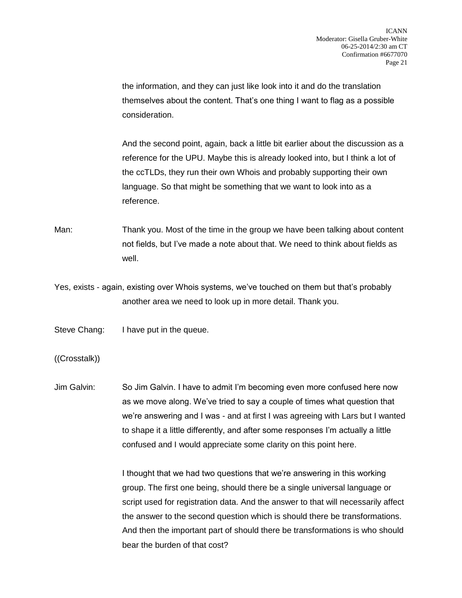the information, and they can just like look into it and do the translation themselves about the content. That's one thing I want to flag as a possible consideration.

And the second point, again, back a little bit earlier about the discussion as a reference for the UPU. Maybe this is already looked into, but I think a lot of the ccTLDs, they run their own Whois and probably supporting their own language. So that might be something that we want to look into as a reference.

Man: Thank you. Most of the time in the group we have been talking about content not fields, but I've made a note about that. We need to think about fields as well.

Yes, exists - again, existing over Whois systems, we've touched on them but that's probably another area we need to look up in more detail. Thank you.

Steve Chang: I have put in the queue.

((Crosstalk))

Jim Galvin: So Jim Galvin. I have to admit I'm becoming even more confused here now as we move along. We've tried to say a couple of times what question that we're answering and I was - and at first I was agreeing with Lars but I wanted to shape it a little differently, and after some responses I'm actually a little confused and I would appreciate some clarity on this point here.

> I thought that we had two questions that we're answering in this working group. The first one being, should there be a single universal language or script used for registration data. And the answer to that will necessarily affect the answer to the second question which is should there be transformations. And then the important part of should there be transformations is who should bear the burden of that cost?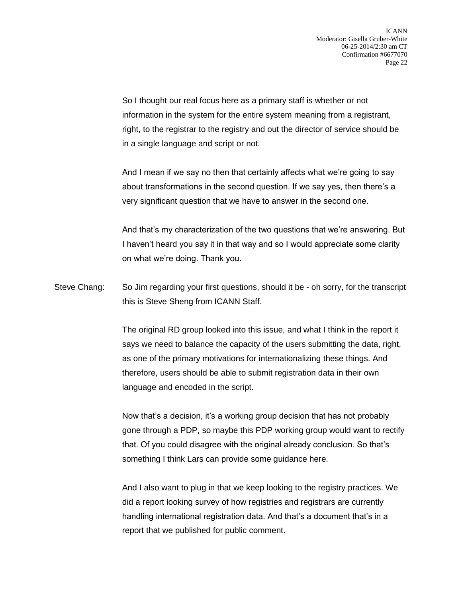So I thought our real focus here as a primary staff is whether or not information in the system for the entire system meaning from a registrant, right, to the registrar to the registry and out the director of service should be in a single language and script or not.

And I mean if we say no then that certainly affects what we're going to say about transformations in the second question. If we say yes, then there's a very significant question that we have to answer in the second one.

And that's my characterization of the two questions that we're answering. But I haven't heard you say it in that way and so I would appreciate some clarity on what we're doing. Thank you.

Steve Chang: So Jim regarding your first questions, should it be - oh sorry, for the transcript this is Steve Sheng from ICANN Staff.

> The original RD group looked into this issue, and what I think in the report it says we need to balance the capacity of the users submitting the data, right, as one of the primary motivations for internationalizing these things. And therefore, users should be able to submit registration data in their own language and encoded in the script.

Now that's a decision, it's a working group decision that has not probably gone through a PDP, so maybe this PDP working group would want to rectify that. Of you could disagree with the original already conclusion. So that's something I think Lars can provide some guidance here.

And I also want to plug in that we keep looking to the registry practices. We did a report looking survey of how registries and registrars are currently handling international registration data. And that's a document that's in a report that we published for public comment.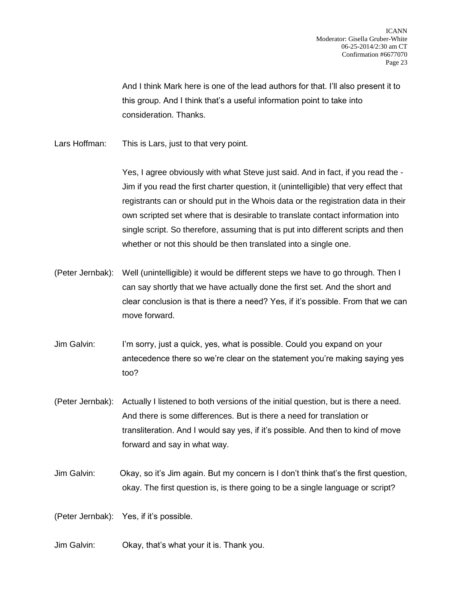And I think Mark here is one of the lead authors for that. I'll also present it to this group. And I think that's a useful information point to take into consideration. Thanks.

Lars Hoffman: This is Lars, just to that very point.

Yes, I agree obviously with what Steve just said. And in fact, if you read the - Jim if you read the first charter question, it (unintelligible) that very effect that registrants can or should put in the Whois data or the registration data in their own scripted set where that is desirable to translate contact information into single script. So therefore, assuming that is put into different scripts and then whether or not this should be then translated into a single one.

- (Peter Jernbak): Well (unintelligible) it would be different steps we have to go through. Then I can say shortly that we have actually done the first set. And the short and clear conclusion is that is there a need? Yes, if it's possible. From that we can move forward.
- Jim Galvin: I'm sorry, just a quick, yes, what is possible. Could you expand on your antecedence there so we're clear on the statement you're making saying yes too?
- (Peter Jernbak): Actually I listened to both versions of the initial question, but is there a need. And there is some differences. But is there a need for translation or transliteration. And I would say yes, if it's possible. And then to kind of move forward and say in what way.
- Jim Galvin: Okay, so it's Jim again. But my concern is I don't think that's the first question, okay. The first question is, is there going to be a single language or script?

(Peter Jernbak): Yes, if it's possible.

Jim Galvin: Okay, that's what your it is. Thank you.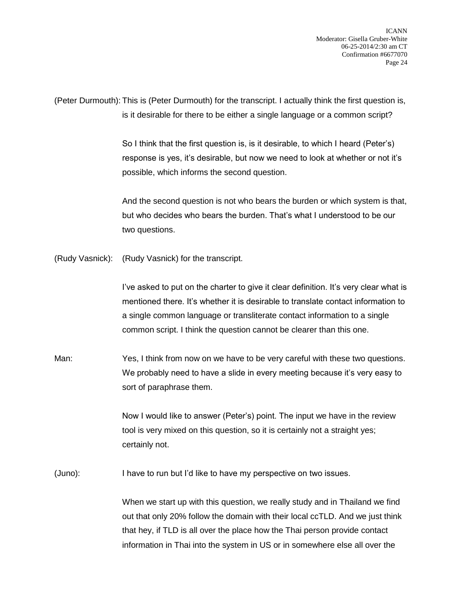ICANN Moderator: Gisella Gruber-White 06-25-2014/2:30 am CT Confirmation #6677070 Page 24

(Peter Durmouth): This is (Peter Durmouth) for the transcript. I actually think the first question is, is it desirable for there to be either a single language or a common script?

> So I think that the first question is, is it desirable, to which I heard (Peter's) response is yes, it's desirable, but now we need to look at whether or not it's possible, which informs the second question.

And the second question is not who bears the burden or which system is that, but who decides who bears the burden. That's what I understood to be our two questions.

(Rudy Vasnick): (Rudy Vasnick) for the transcript.

I've asked to put on the charter to give it clear definition. It's very clear what is mentioned there. It's whether it is desirable to translate contact information to a single common language or transliterate contact information to a single common script. I think the question cannot be clearer than this one.

Man: Yes, I think from now on we have to be very careful with these two questions. We probably need to have a slide in every meeting because it's very easy to sort of paraphrase them.

> Now I would like to answer (Peter's) point. The input we have in the review tool is very mixed on this question, so it is certainly not a straight yes; certainly not.

(Juno): I have to run but I'd like to have my perspective on two issues.

When we start up with this question, we really study and in Thailand we find out that only 20% follow the domain with their local ccTLD. And we just think that hey, if TLD is all over the place how the Thai person provide contact information in Thai into the system in US or in somewhere else all over the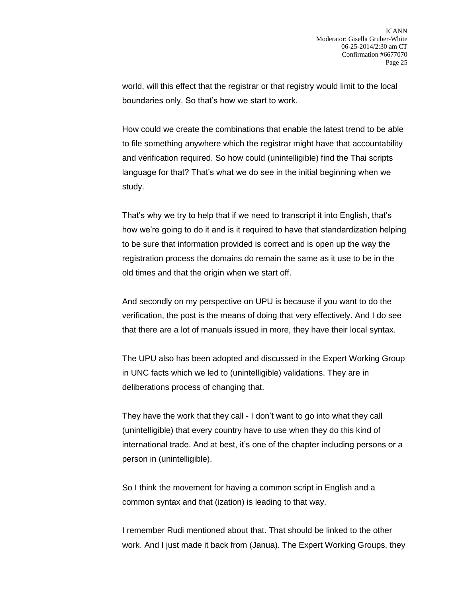world, will this effect that the registrar or that registry would limit to the local boundaries only. So that's how we start to work.

How could we create the combinations that enable the latest trend to be able to file something anywhere which the registrar might have that accountability and verification required. So how could (unintelligible) find the Thai scripts language for that? That's what we do see in the initial beginning when we study.

That's why we try to help that if we need to transcript it into English, that's how we're going to do it and is it required to have that standardization helping to be sure that information provided is correct and is open up the way the registration process the domains do remain the same as it use to be in the old times and that the origin when we start off.

And secondly on my perspective on UPU is because if you want to do the verification, the post is the means of doing that very effectively. And I do see that there are a lot of manuals issued in more, they have their local syntax.

The UPU also has been adopted and discussed in the Expert Working Group in UNC facts which we led to (unintelligible) validations. They are in deliberations process of changing that.

They have the work that they call - I don't want to go into what they call (unintelligible) that every country have to use when they do this kind of international trade. And at best, it's one of the chapter including persons or a person in (unintelligible).

So I think the movement for having a common script in English and a common syntax and that (ization) is leading to that way.

I remember Rudi mentioned about that. That should be linked to the other work. And I just made it back from (Janua). The Expert Working Groups, they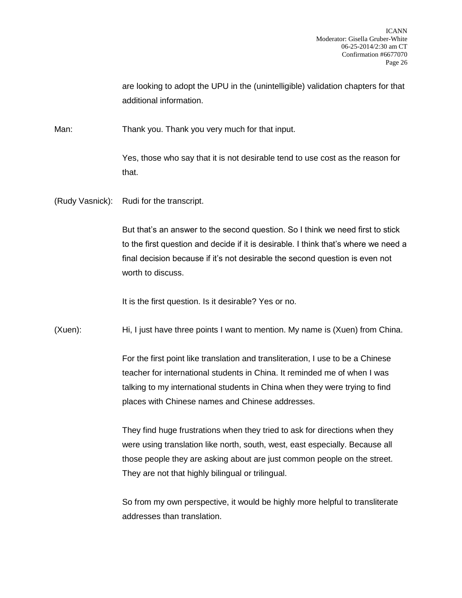are looking to adopt the UPU in the (unintelligible) validation chapters for that additional information.

Man: Thank you. Thank you very much for that input.

Yes, those who say that it is not desirable tend to use cost as the reason for that.

(Rudy Vasnick): Rudi for the transcript.

But that's an answer to the second question. So I think we need first to stick to the first question and decide if it is desirable. I think that's where we need a final decision because if it's not desirable the second question is even not worth to discuss.

It is the first question. Is it desirable? Yes or no.

(Xuen): Hi, I just have three points I want to mention. My name is (Xuen) from China.

For the first point like translation and transliteration, I use to be a Chinese teacher for international students in China. It reminded me of when I was talking to my international students in China when they were trying to find places with Chinese names and Chinese addresses.

They find huge frustrations when they tried to ask for directions when they were using translation like north, south, west, east especially. Because all those people they are asking about are just common people on the street. They are not that highly bilingual or trilingual.

So from my own perspective, it would be highly more helpful to transliterate addresses than translation.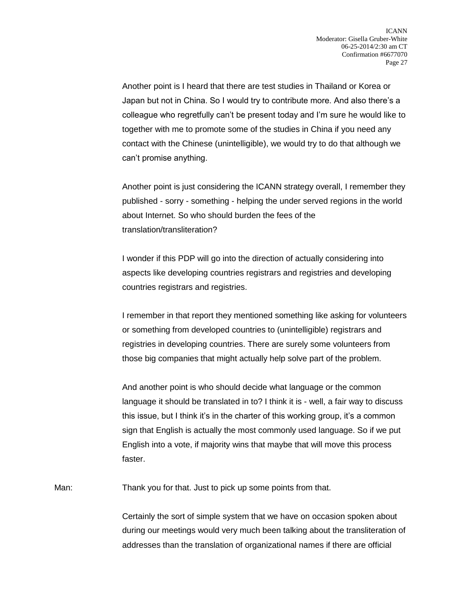Another point is I heard that there are test studies in Thailand or Korea or Japan but not in China. So I would try to contribute more. And also there's a colleague who regretfully can't be present today and I'm sure he would like to together with me to promote some of the studies in China if you need any contact with the Chinese (unintelligible), we would try to do that although we can't promise anything.

Another point is just considering the ICANN strategy overall, I remember they published - sorry - something - helping the under served regions in the world about Internet. So who should burden the fees of the translation/transliteration?

I wonder if this PDP will go into the direction of actually considering into aspects like developing countries registrars and registries and developing countries registrars and registries.

I remember in that report they mentioned something like asking for volunteers or something from developed countries to (unintelligible) registrars and registries in developing countries. There are surely some volunteers from those big companies that might actually help solve part of the problem.

And another point is who should decide what language or the common language it should be translated in to? I think it is - well, a fair way to discuss this issue, but I think it's in the charter of this working group, it's a common sign that English is actually the most commonly used language. So if we put English into a vote, if majority wins that maybe that will move this process faster.

Man: Thank you for that. Just to pick up some points from that.

Certainly the sort of simple system that we have on occasion spoken about during our meetings would very much been talking about the transliteration of addresses than the translation of organizational names if there are official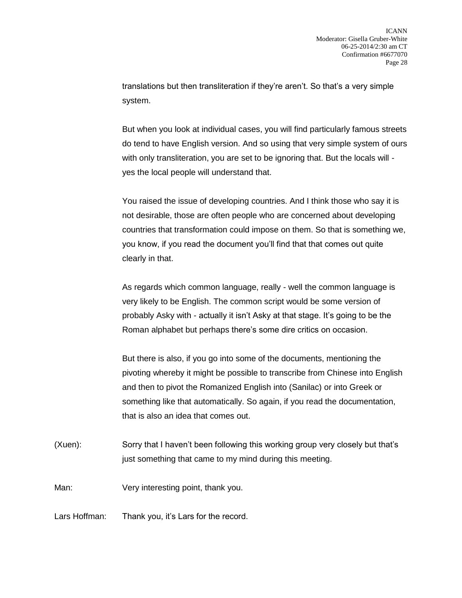translations but then transliteration if they're aren't. So that's a very simple system.

But when you look at individual cases, you will find particularly famous streets do tend to have English version. And so using that very simple system of ours with only transliteration, you are set to be ignoring that. But the locals will yes the local people will understand that.

You raised the issue of developing countries. And I think those who say it is not desirable, those are often people who are concerned about developing countries that transformation could impose on them. So that is something we, you know, if you read the document you'll find that that comes out quite clearly in that.

As regards which common language, really - well the common language is very likely to be English. The common script would be some version of probably Asky with - actually it isn't Asky at that stage. It's going to be the Roman alphabet but perhaps there's some dire critics on occasion.

But there is also, if you go into some of the documents, mentioning the pivoting whereby it might be possible to transcribe from Chinese into English and then to pivot the Romanized English into (Sanilac) or into Greek or something like that automatically. So again, if you read the documentation, that is also an idea that comes out.

- (Xuen): Sorry that I haven't been following this working group very closely but that's just something that came to my mind during this meeting.
- Man: Very interesting point, thank you.
- Lars Hoffman: Thank you, it's Lars for the record.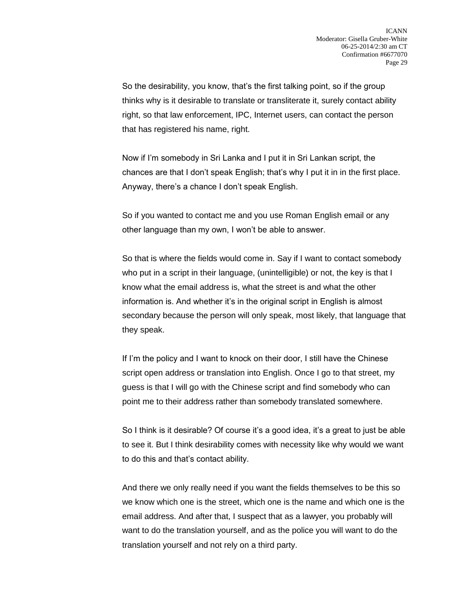So the desirability, you know, that's the first talking point, so if the group thinks why is it desirable to translate or transliterate it, surely contact ability right, so that law enforcement, IPC, Internet users, can contact the person that has registered his name, right.

Now if I'm somebody in Sri Lanka and I put it in Sri Lankan script, the chances are that I don't speak English; that's why I put it in in the first place. Anyway, there's a chance I don't speak English.

So if you wanted to contact me and you use Roman English email or any other language than my own, I won't be able to answer.

So that is where the fields would come in. Say if I want to contact somebody who put in a script in their language, (unintelligible) or not, the key is that I know what the email address is, what the street is and what the other information is. And whether it's in the original script in English is almost secondary because the person will only speak, most likely, that language that they speak.

If I'm the policy and I want to knock on their door, I still have the Chinese script open address or translation into English. Once I go to that street, my guess is that I will go with the Chinese script and find somebody who can point me to their address rather than somebody translated somewhere.

So I think is it desirable? Of course it's a good idea, it's a great to just be able to see it. But I think desirability comes with necessity like why would we want to do this and that's contact ability.

And there we only really need if you want the fields themselves to be this so we know which one is the street, which one is the name and which one is the email address. And after that, I suspect that as a lawyer, you probably will want to do the translation yourself, and as the police you will want to do the translation yourself and not rely on a third party.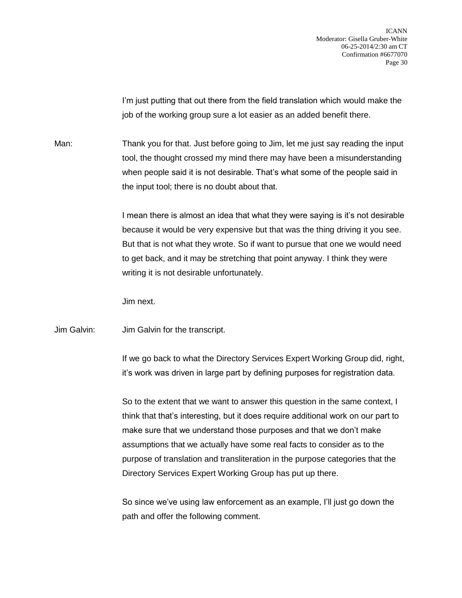I'm just putting that out there from the field translation which would make the job of the working group sure a lot easier as an added benefit there.

Man: Thank you for that. Just before going to Jim, let me just say reading the input tool, the thought crossed my mind there may have been a misunderstanding when people said it is not desirable. That's what some of the people said in the input tool; there is no doubt about that.

> I mean there is almost an idea that what they were saying is it's not desirable because it would be very expensive but that was the thing driving it you see. But that is not what they wrote. So if want to pursue that one we would need to get back, and it may be stretching that point anyway. I think they were writing it is not desirable unfortunately.

Jim next.

Jim Galvin: Jim Galvin for the transcript.

If we go back to what the Directory Services Expert Working Group did, right, it's work was driven in large part by defining purposes for registration data.

So to the extent that we want to answer this question in the same context, I think that that's interesting, but it does require additional work on our part to make sure that we understand those purposes and that we don't make assumptions that we actually have some real facts to consider as to the purpose of translation and transliteration in the purpose categories that the Directory Services Expert Working Group has put up there.

So since we've using law enforcement as an example, I'll just go down the path and offer the following comment.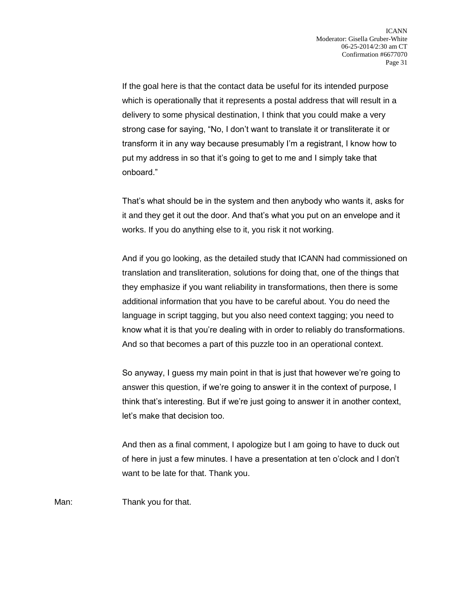If the goal here is that the contact data be useful for its intended purpose which is operationally that it represents a postal address that will result in a delivery to some physical destination, I think that you could make a very strong case for saying, "No, I don't want to translate it or transliterate it or transform it in any way because presumably I'm a registrant, I know how to put my address in so that it's going to get to me and I simply take that onboard."

That's what should be in the system and then anybody who wants it, asks for it and they get it out the door. And that's what you put on an envelope and it works. If you do anything else to it, you risk it not working.

And if you go looking, as the detailed study that ICANN had commissioned on translation and transliteration, solutions for doing that, one of the things that they emphasize if you want reliability in transformations, then there is some additional information that you have to be careful about. You do need the language in script tagging, but you also need context tagging; you need to know what it is that you're dealing with in order to reliably do transformations. And so that becomes a part of this puzzle too in an operational context.

So anyway, I guess my main point in that is just that however we're going to answer this question, if we're going to answer it in the context of purpose, I think that's interesting. But if we're just going to answer it in another context, let's make that decision too.

And then as a final comment, I apologize but I am going to have to duck out of here in just a few minutes. I have a presentation at ten o'clock and I don't want to be late for that. Thank you.

Man: Thank you for that.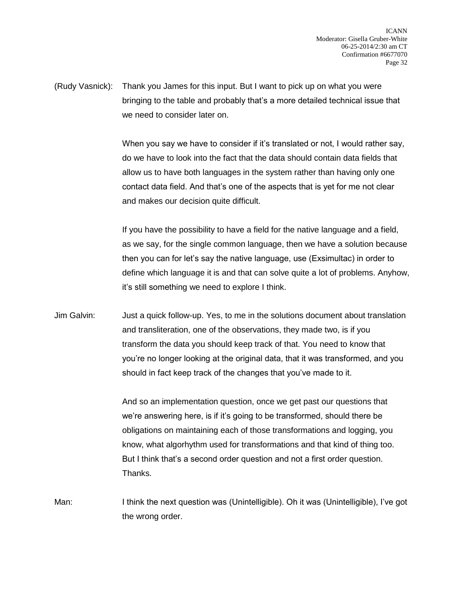(Rudy Vasnick): Thank you James for this input. But I want to pick up on what you were bringing to the table and probably that's a more detailed technical issue that we need to consider later on.

> When you say we have to consider if it's translated or not, I would rather say, do we have to look into the fact that the data should contain data fields that allow us to have both languages in the system rather than having only one contact data field. And that's one of the aspects that is yet for me not clear and makes our decision quite difficult.

If you have the possibility to have a field for the native language and a field, as we say, for the single common language, then we have a solution because then you can for let's say the native language, use (Exsimultac) in order to define which language it is and that can solve quite a lot of problems. Anyhow, it's still something we need to explore I think.

Jim Galvin: Just a quick follow-up. Yes, to me in the solutions document about translation and transliteration, one of the observations, they made two, is if you transform the data you should keep track of that. You need to know that you're no longer looking at the original data, that it was transformed, and you should in fact keep track of the changes that you've made to it.

> And so an implementation question, once we get past our questions that we're answering here, is if it's going to be transformed, should there be obligations on maintaining each of those transformations and logging, you know, what algorhythm used for transformations and that kind of thing too. But I think that's a second order question and not a first order question. Thanks.

Man: I think the next question was (Unintelligible). Oh it was (Unintelligible), I've got the wrong order.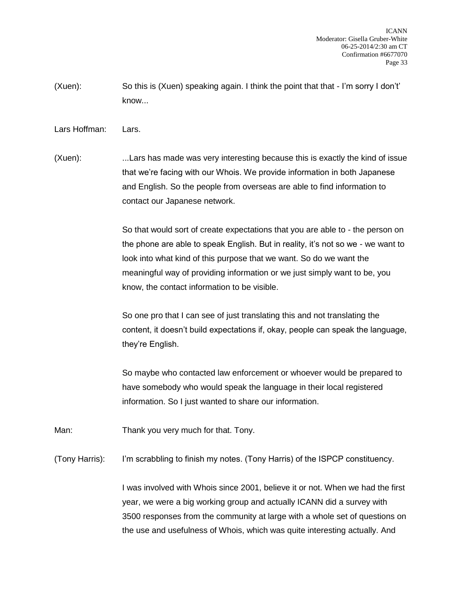- (Xuen): So this is (Xuen) speaking again. I think the point that that I'm sorry I don't' know...
- Lars Hoffman: Lars.

(Xuen): ...Lars has made was very interesting because this is exactly the kind of issue that we're facing with our Whois. We provide information in both Japanese and English. So the people from overseas are able to find information to contact our Japanese network.

> So that would sort of create expectations that you are able to - the person on the phone are able to speak English. But in reality, it's not so we - we want to look into what kind of this purpose that we want. So do we want the meaningful way of providing information or we just simply want to be, you know, the contact information to be visible.

> So one pro that I can see of just translating this and not translating the content, it doesn't build expectations if, okay, people can speak the language, they're English.

So maybe who contacted law enforcement or whoever would be prepared to have somebody who would speak the language in their local registered information. So I just wanted to share our information.

Man: Thank you very much for that. Tony.

(Tony Harris): I'm scrabbling to finish my notes. (Tony Harris) of the ISPCP constituency.

I was involved with Whois since 2001, believe it or not. When we had the first year, we were a big working group and actually ICANN did a survey with 3500 responses from the community at large with a whole set of questions on the use and usefulness of Whois, which was quite interesting actually. And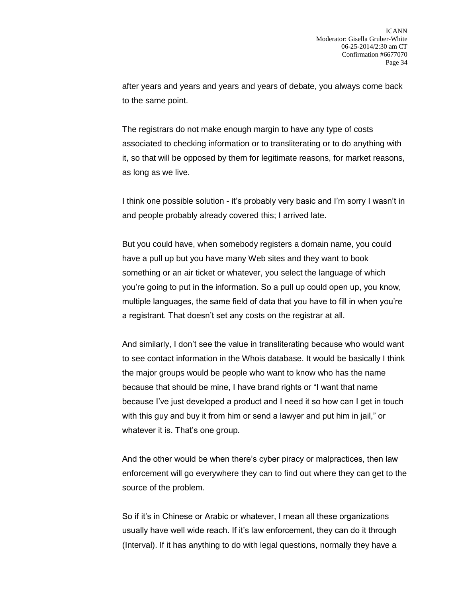after years and years and years and years of debate, you always come back to the same point.

The registrars do not make enough margin to have any type of costs associated to checking information or to transliterating or to do anything with it, so that will be opposed by them for legitimate reasons, for market reasons, as long as we live.

I think one possible solution - it's probably very basic and I'm sorry I wasn't in and people probably already covered this; I arrived late.

But you could have, when somebody registers a domain name, you could have a pull up but you have many Web sites and they want to book something or an air ticket or whatever, you select the language of which you're going to put in the information. So a pull up could open up, you know, multiple languages, the same field of data that you have to fill in when you're a registrant. That doesn't set any costs on the registrar at all.

And similarly, I don't see the value in transliterating because who would want to see contact information in the Whois database. It would be basically I think the major groups would be people who want to know who has the name because that should be mine, I have brand rights or "I want that name because I've just developed a product and I need it so how can I get in touch with this guy and buy it from him or send a lawyer and put him in jail," or whatever it is. That's one group.

And the other would be when there's cyber piracy or malpractices, then law enforcement will go everywhere they can to find out where they can get to the source of the problem.

So if it's in Chinese or Arabic or whatever, I mean all these organizations usually have well wide reach. If it's law enforcement, they can do it through (Interval). If it has anything to do with legal questions, normally they have a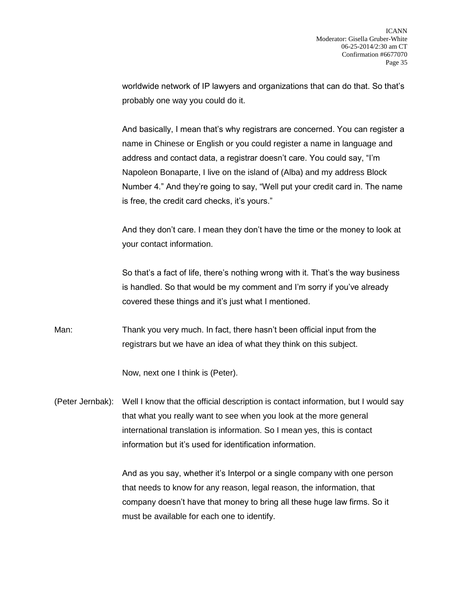worldwide network of IP lawyers and organizations that can do that. So that's probably one way you could do it.

And basically, I mean that's why registrars are concerned. You can register a name in Chinese or English or you could register a name in language and address and contact data, a registrar doesn't care. You could say, "I'm Napoleon Bonaparte, I live on the island of (Alba) and my address Block Number 4." And they're going to say, "Well put your credit card in. The name is free, the credit card checks, it's yours."

And they don't care. I mean they don't have the time or the money to look at your contact information.

So that's a fact of life, there's nothing wrong with it. That's the way business is handled. So that would be my comment and I'm sorry if you've already covered these things and it's just what I mentioned.

Man: Thank you very much. In fact, there hasn't been official input from the registrars but we have an idea of what they think on this subject.

Now, next one I think is (Peter).

(Peter Jernbak): Well I know that the official description is contact information, but I would say that what you really want to see when you look at the more general international translation is information. So I mean yes, this is contact information but it's used for identification information.

> And as you say, whether it's Interpol or a single company with one person that needs to know for any reason, legal reason, the information, that company doesn't have that money to bring all these huge law firms. So it must be available for each one to identify.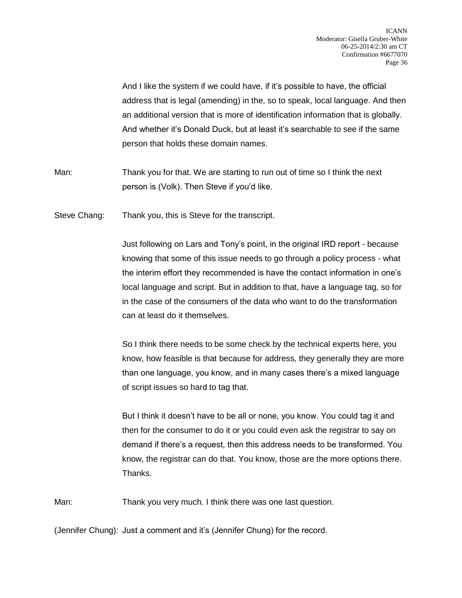And I like the system if we could have, if it's possible to have, the official address that is legal (amending) in the, so to speak, local language. And then an additional version that is more of identification information that is globally. And whether it's Donald Duck, but at least it's searchable to see if the same person that holds these domain names.

Man: Thank you for that. We are starting to run out of time so I think the next person is (Volk). Then Steve if you'd like.

Steve Chang: Thank you, this is Steve for the transcript.

Just following on Lars and Tony's point, in the original IRD report - because knowing that some of this issue needs to go through a policy process - what the interim effort they recommended is have the contact information in one's local language and script. But in addition to that, have a language tag, so for in the case of the consumers of the data who want to do the transformation can at least do it themselves.

So I think there needs to be some check by the technical experts here, you know, how feasible is that because for address, they generally they are more than one language, you know, and in many cases there's a mixed language of script issues so hard to tag that.

But I think it doesn't have to be all or none, you know. You could tag it and then for the consumer to do it or you could even ask the registrar to say on demand if there's a request, then this address needs to be transformed. You know, the registrar can do that. You know, those are the more options there. Thanks.

Man: Thank you very much. I think there was one last question.

(Jennifer Chung): Just a comment and it's (Jennifer Chung) for the record.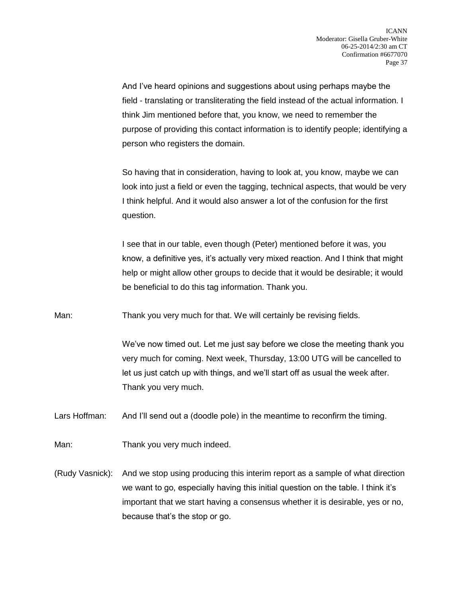And I've heard opinions and suggestions about using perhaps maybe the field - translating or transliterating the field instead of the actual information. I think Jim mentioned before that, you know, we need to remember the purpose of providing this contact information is to identify people; identifying a person who registers the domain.

So having that in consideration, having to look at, you know, maybe we can look into just a field or even the tagging, technical aspects, that would be very I think helpful. And it would also answer a lot of the confusion for the first question.

I see that in our table, even though (Peter) mentioned before it was, you know, a definitive yes, it's actually very mixed reaction. And I think that might help or might allow other groups to decide that it would be desirable; it would be beneficial to do this tag information. Thank you.

Man: Thank you very much for that. We will certainly be revising fields.

We've now timed out. Let me just say before we close the meeting thank you very much for coming. Next week, Thursday, 13:00 UTG will be cancelled to let us just catch up with things, and we'll start off as usual the week after. Thank you very much.

Lars Hoffman: And I'll send out a (doodle pole) in the meantime to reconfirm the timing.

Man: Thank you very much indeed.

(Rudy Vasnick): And we stop using producing this interim report as a sample of what direction we want to go, especially having this initial question on the table. I think it's important that we start having a consensus whether it is desirable, yes or no, because that's the stop or go.